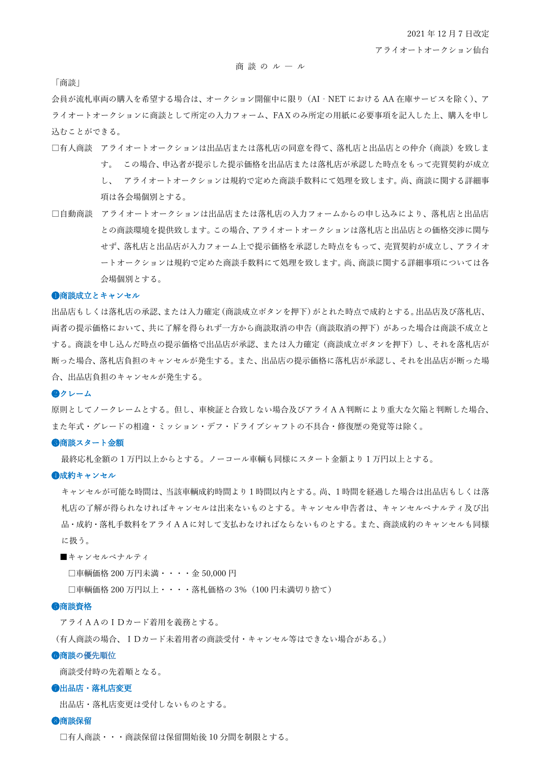### 商 談 の ル ― ル

「商談」

会員が流札車両の購入を希望する場合は、オークション開催中に限り(AI‐NET における AA 在庫サービスを除く)、ア ライオートオークションに商談として所定の入力フォーム、FAXのみ所定の用紙に必要事項を記入した上、購入を申し 込むことができる。

- □有人商談 アライオートオークションは出品店または落札店の同意を得て、落札店と出品店との仲介(商談)を致しま す。 この場合、申込者が提示した提示価格を出品店または落札店が承認した時点をもって売買契約が成立 し、 アライオートオークションは規約で定めた商談手数料にて処理を致します。尚、商談に関する詳細事 項は各会場個別とする。
- □自動商談 アライオートオークションは出品店または落札店の入力フォームからの申し込みにより、落札店と出品店 との商談環境を提供致します。この場合、アライオートオークションは落札店と出品店との価格交渉に関与 せず、落札店と出品店が入力フォーム上で提示価格を承認した時点をもって、売買契約が成立し、アライオ ートオークションは規約で定めた商談手数料にて処理を致します。尚、商談に関する詳細事項については各 会場個別とする。

#### ❶商談成立とキャンセル

出品店もしくは落札店の承認、または入力確定(商談成立ボタンを押下)がとれた時点で成約とする。出品店及び落札店、 両者の提示価格において、共に了解を得られず一方から商談取消の申告(商談取消の押下)があった場合は商談不成立と する。商談を申し込んだ時点の提示価格で出品店が承認、または入力確定(商談成立ボタンを押下)し、それを落札店が 断った場合、落札店負担のキャンセルが発生する。また、出品店の提示価格に落札店が承認し、それを出品店が断った場 合、出品店負担のキャンセルが発生する。

### ❷クレーム

原則としてノークレームとする。但し、車検証と合致しない場合及びアライAA判断により重大な欠陥と判断した場合、 また年式・グレードの相違・ミッション・デフ・ドライブシャフトの不具合・修復歴の発覚等は除く。

#### ●商談スタート金額

最終応札金額の 1 万円以上からとする。ノーコール車輌も同様にスタート金額より 1 万円以上とする。

#### ❹成約キャンセル

キャンセルが可能な時間は、当該車輌成約時間より1時間以内とする。尚、1時間を経過した場合は出品店もしくは落 札店の了解が得られなければキャンセルは出来ないものとする。キャンセル申告者は、キャンセルペナルティ及び出 品・成約・落札手数料をアライAAに対して支払わなければならないものとする。また、商談成約のキャンセルも同様 に扱う。

■キャンセルペナルティ

□車輌価格 200 万円未満・・・・金 50,000 円

□車輌価格 200 万円以上・・・・落札価格の 3% (100 円未満切り捨て)

### ❺商談資格

アライAAのIDカード着用を義務とする。

(有人商談の場合、IDカード未着用者の商談受付・キャンセル等はできない場合がある。)

#### ●商談の優先順位

商談受付時の先着順となる。

### ❼出品店・落札店変更

出品店・落札店変更は受付しないものとする。

#### ❽商談保留

□有人商談・・・商談保留は保留開始後 10 分間を制限とする。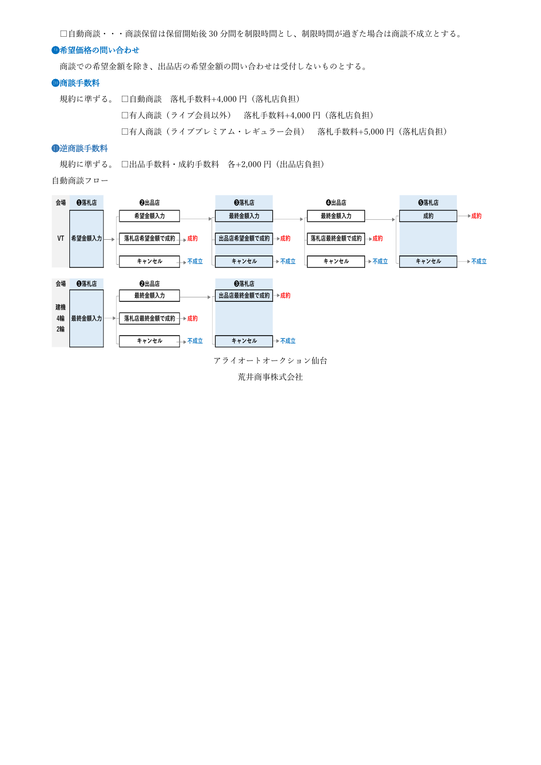□自動商談・・・商談保留は保留開始後 30 分間を制限時間とし、制限時間が過ぎた場合は商談不成立とする。

## ❾希望価格の問い合わせ

商談での希望金額を除き、出品店の希望金額の問い合わせは受付しないものとする。

### ❿商談手数料

規約に準ずる。 □自動商談 落札手数料+4,000 円(落札店負担) □有人商談(ライブ会員以外) 落札手数料+4,000 円(落札店負担) □有人商談(ライブプレミアム・レギュラー会員) 落札手数料+5,000 円(落札店負担)

## ⓫逆商談手数料

規約に準ずる。 □出品手数料・成約手数料 各+2,000 円(出品店負担)

自動商談フロー



荒井商事株式会社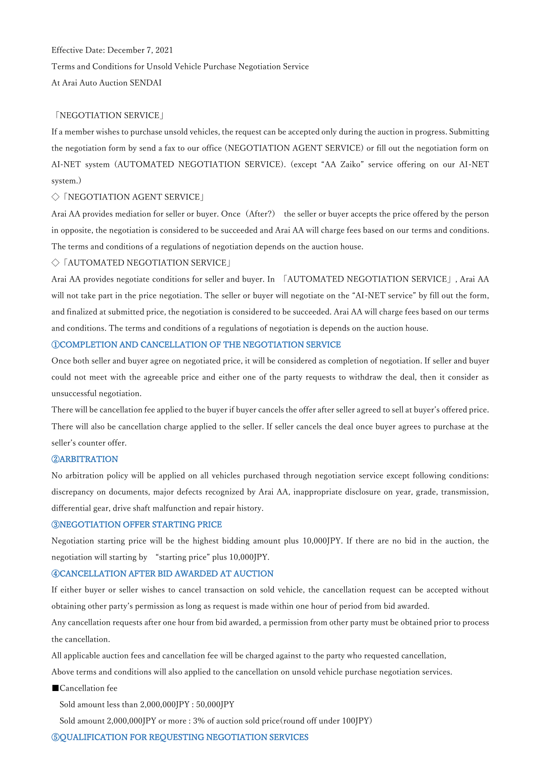Effective Date: December 7, 2021 Terms and Conditions for Unsold Vehicle Purchase Negotiation Service At Arai Auto Auction SENDAI

## 「NEGOTIATION SERVICE」

If a member wishes to purchase unsold vehicles, the request can be accepted only during the auction in progress. Submitting the negotiation form by send a fax to our office (NEGOTIATION AGENT SERVICE) or fill out the negotiation form on AI-NET system (AUTOMATED NEGOTIATION SERVICE). (except "AA Zaiko" service offering on our AI-NET system.)

### ◇「NEGOTIATION AGENT SERVICE」

Arai AA provides mediation for seller or buyer. Once(After?) the seller or buyer accepts the price offered by the person in opposite, the negotiation is considered to be succeeded and Arai AA will charge fees based on our terms and conditions. The terms and conditions of a regulations of negotiation depends on the auction house.

### ◇「AUTOMATED NEGOTIATION SERVICE」

Arai AA provides negotiate conditions for seller and buyer. In 「AUTOMATED NEGOTIATION SERVICE」, Arai AA will not take part in the price negotiation. The seller or buyer will negotiate on the "AI-NET service" by fill out the form, and finalized at submitted price, the negotiation is considered to be succeeded. Arai AA will charge fees based on our terms and conditions. The terms and conditions of a regulations of negotiation is depends on the auction house.

# ①COMPLETION AND CANCELLATION OF THE NEGOTIATION SERVICE

Once both seller and buyer agree on negotiated price, it will be considered as completion of negotiation. If seller and buyer could not meet with the agreeable price and either one of the party requests to withdraw the deal, then it consider as unsuccessful negotiation.

There will be cancellation fee applied to the buyer if buyer cancels the offer after seller agreed to sell at buyer's offered price. There will also be cancellation charge applied to the seller. If seller cancels the deal once buyer agrees to purchase at the seller's counter offer.

### ②ARBITRATION

No arbitration policy will be applied on all vehicles purchased through negotiation service except following conditions: discrepancy on documents, major defects recognized by Arai AA, inappropriate disclosure on year, grade, transmission, differential gear, drive shaft malfunction and repair history.

## ③NEGOTIATION OFFER STARTING PRICE

Negotiation starting price will be the highest bidding amount plus 10,000JPY. If there are no bid in the auction, the negotiation will starting by "starting price" plus 10,000JPY.

## ④CANCELLATION AFTER BID AWARDED AT AUCTION

If either buyer or seller wishes to cancel transaction on sold vehicle, the cancellation request can be accepted without obtaining other party's permission as long as request is made within one hour of period from bid awarded.

Any cancellation requests after one hour from bid awarded, a permission from other party must be obtained prior to process the cancellation.

All applicable auction fees and cancellation fee will be charged against to the party who requested cancellation,

Above terms and conditions will also applied to the cancellation on unsold vehicle purchase negotiation services.

■Cancellation fee

Sold amount less than 2,000,000JPY : 50,000JPY

Sold amount 2,000,000JPY or more : 3% of auction sold price(round off under 100JPY)

## ⑤QUALIFICATION FOR REQUESTING NEGOTIATION SERVICES